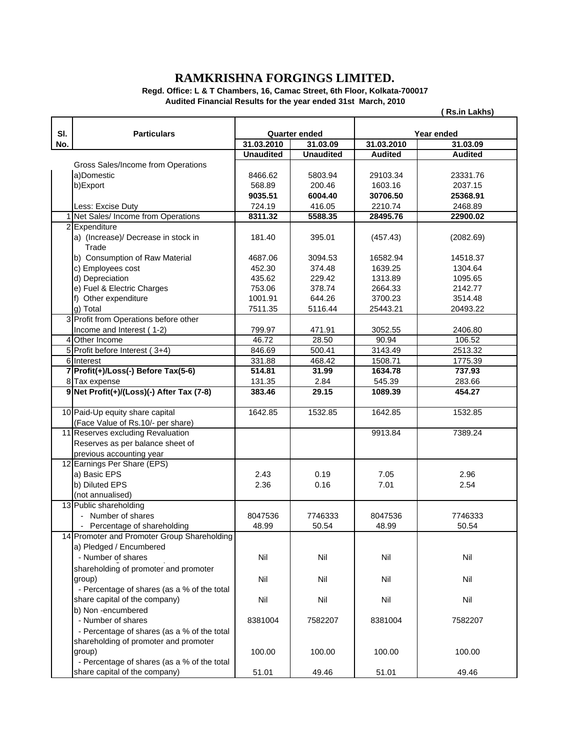## **RAMKRISHNA FORGINGS LIMITED.**

**Regd. Office: L & T Chambers, 16, Camac Street, 6th Floor, Kolkata-700017 Audited Financial Results for the year ended 31st March, 2010**

**( Rs.in Lakhs)**

| SI. | <b>Particulars</b>                                   | <b>Quarter ended</b> |                  | Year ended     |                |
|-----|------------------------------------------------------|----------------------|------------------|----------------|----------------|
| No. |                                                      | 31.03.2010           | 31.03.09         | 31.03.2010     | 31.03.09       |
|     |                                                      | <b>Unaudited</b>     | <b>Unaudited</b> |                |                |
|     |                                                      |                      |                  | <b>Audited</b> | <b>Audited</b> |
|     | Gross Sales/Income from Operations                   |                      |                  |                |                |
|     | a)Domestic                                           | 8466.62              | 5803.94          | 29103.34       | 23331.76       |
|     | b)Export                                             | 568.89               | 200.46           | 1603.16        | 2037.15        |
|     |                                                      | 9035.51              | 6004.40          | 30706.50       | 25368.91       |
|     | Less: Excise Duty                                    | 724.19               | 416.05           | 2210.74        | 2468.89        |
| 1   | Net Sales/ Income from Operations                    | 8311.32              | 5588.35          | 28495.76       | 22900.02       |
|     | 2 Expenditure<br>a) (Increase)/ Decrease in stock in | 181.40               | 395.01           | (457.43)       | (2082.69)      |
|     | Trade                                                |                      |                  |                |                |
|     | b) Consumption of Raw Material                       | 4687.06              | 3094.53          | 16582.94       | 14518.37       |
|     | c) Employees cost                                    | 452.30               | 374.48           | 1639.25        | 1304.64        |
|     | d) Depreciation                                      | 435.62               | 229.42           | 1313.89        | 1095.65        |
|     | e) Fuel & Electric Charges                           | 753.06               | 378.74           | 2664.33        | 2142.77        |
|     | f) Other expenditure                                 | 1001.91              | 644.26           | 3700.23        | 3514.48        |
|     | g) Total                                             | 7511.35              | 5116.44          | 25443.21       | 20493.22       |
|     | 3 Profit from Operations before other                |                      |                  |                |                |
|     | Income and Interest (1-2)                            | 799.97               | 471.91           | 3052.55        | 2406.80        |
|     | 4 Other Income                                       | 46.72                | 28.50            | 90.94          | 106.52         |
|     | 5 Profit before Interest (3+4)                       | 846.69               | 500.41           | 3143.49        | 2513.32        |
|     | 6 Interest                                           | 331.88               | 468.42           | 1508.71        | 1775.39        |
|     | 7 Profit(+)/Loss(-) Before Tax(5-6)                  | 514.81               | 31.99            | 1634.78        | 737.93         |
|     | 8 Tax expense                                        | 131.35               | 2.84             | 545.39         | 283.66         |
|     | 9 Net Profit(+)/(Loss)(-) After Tax (7-8)            | 383.46               | 29.15            | 1089.39        | 454.27         |
|     | 10 Paid-Up equity share capital                      | 1642.85              | 1532.85          | 1642.85        | 1532.85        |
|     | (Face Value of Rs.10/- per share)                    |                      |                  |                |                |
|     | 11 Reserves excluding Revaluation                    |                      |                  | 9913.84        | 7389.24        |
|     | Reserves as per balance sheet of                     |                      |                  |                |                |
|     | previous accounting year                             |                      |                  |                |                |
|     | 12 Earnings Per Share (EPS)                          |                      |                  |                |                |
|     | a) Basic EPS                                         | 2.43                 | 0.19             | 7.05           | 2.96           |
|     | b) Diluted EPS                                       | 2.36                 | 0.16             | 7.01           | 2.54           |
|     | (not annualised)                                     |                      |                  |                |                |
|     | 13 Public shareholding                               |                      |                  |                |                |
|     | - Number of shares                                   | 8047536              | 7746333          | 8047536        | 7746333        |
|     | - Percentage of shareholding                         | 48.99                | 50.54            | 48.99          | 50.54          |
|     | 14 Promoter and Promoter Group Shareholding          |                      |                  |                |                |
|     | a) Pledged / Encumbered                              |                      |                  |                |                |
|     | - Number of shares                                   | Nil                  | Nil              | Nil            | Nil            |
|     | shareholding of promoter and promoter                |                      |                  |                |                |
|     | group)                                               | Nil                  | Nil              | Nil            | Nil            |
|     | - Percentage of shares (as a % of the total          |                      |                  |                |                |
|     | share capital of the company)                        | Nil                  | Nil              | Nil            | Nil            |
|     | b) Non-encumbered                                    |                      |                  |                |                |
|     | - Number of shares                                   | 8381004              | 7582207          | 8381004        | 7582207        |
|     | - Percentage of shares (as a % of the total          |                      |                  |                |                |
|     | shareholding of promoter and promoter                |                      |                  |                |                |
|     | group)                                               | 100.00               | 100.00           | 100.00         | 100.00         |
|     | - Percentage of shares (as a % of the total          |                      |                  |                |                |
|     | share capital of the company)                        | 51.01                | 49.46            | 51.01          | 49.46          |